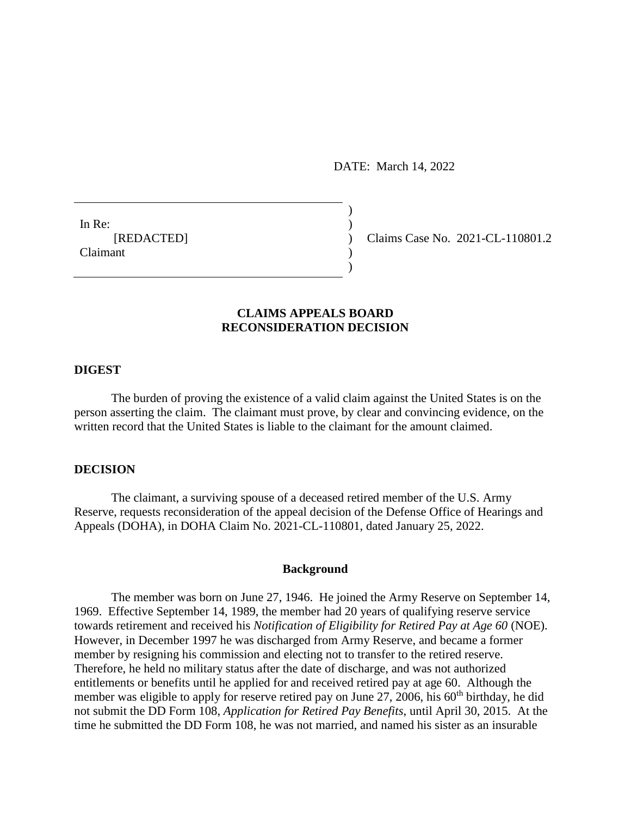DATE: March 14, 2022

 $)$ 

)

In Re:  $\qquad \qquad$ ) Claimant )

[REDACTED] ) Claims Case No. 2021-CL-110801.2

# **CLAIMS APPEALS BOARD RECONSIDERATION DECISION**

### **DIGEST**

The burden of proving the existence of a valid claim against the United States is on the person asserting the claim. The claimant must prove, by clear and convincing evidence, on the written record that the United States is liable to the claimant for the amount claimed.

### **DECISION**

The claimant, a surviving spouse of a deceased retired member of the U.S. Army Reserve, requests reconsideration of the appeal decision of the Defense Office of Hearings and Appeals (DOHA), in DOHA Claim No. 2021-CL-110801, dated January 25, 2022.

#### **Background**

The member was born on June 27, 1946. He joined the Army Reserve on September 14, 1969. Effective September 14, 1989, the member had 20 years of qualifying reserve service towards retirement and received his *Notification of Eligibility for Retired Pay at Age 60* (NOE). However, in December 1997 he was discharged from Army Reserve, and became a former member by resigning his commission and electing not to transfer to the retired reserve. Therefore, he held no military status after the date of discharge, and was not authorized entitlements or benefits until he applied for and received retired pay at age 60. Although the member was eligible to apply for reserve retired pay on June 27, 2006, his 60<sup>th</sup> birthday, he did not submit the DD Form 108, *Application for Retired Pay Benefits*, until April 30, 2015. At the time he submitted the DD Form 108, he was not married, and named his sister as an insurable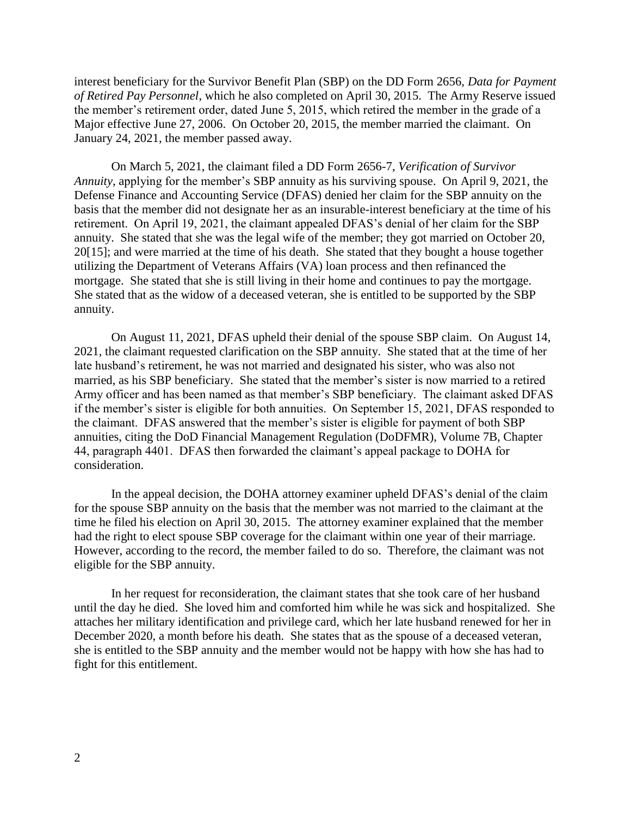interest beneficiary for the Survivor Benefit Plan (SBP) on the DD Form 2656, *Data for Payment of Retired Pay Personnel*, which he also completed on April 30, 2015. The Army Reserve issued the member's retirement order, dated June 5, 2015, which retired the member in the grade of a Major effective June 27, 2006. On October 20, 2015, the member married the claimant. On January 24, 2021, the member passed away.

On March 5, 2021, the claimant filed a DD Form 2656-7, *Verification of Survivor Annuity*, applying for the member's SBP annuity as his surviving spouse. On April 9, 2021, the Defense Finance and Accounting Service (DFAS) denied her claim for the SBP annuity on the basis that the member did not designate her as an insurable-interest beneficiary at the time of his retirement. On April 19, 2021, the claimant appealed DFAS's denial of her claim for the SBP annuity. She stated that she was the legal wife of the member; they got married on October 20, 20[15]; and were married at the time of his death. She stated that they bought a house together utilizing the Department of Veterans Affairs (VA) loan process and then refinanced the mortgage. She stated that she is still living in their home and continues to pay the mortgage. She stated that as the widow of a deceased veteran, she is entitled to be supported by the SBP annuity.

On August 11, 2021, DFAS upheld their denial of the spouse SBP claim. On August 14, 2021, the claimant requested clarification on the SBP annuity. She stated that at the time of her late husband's retirement, he was not married and designated his sister, who was also not married, as his SBP beneficiary. She stated that the member's sister is now married to a retired Army officer and has been named as that member's SBP beneficiary. The claimant asked DFAS if the member's sister is eligible for both annuities. On September 15, 2021, DFAS responded to the claimant. DFAS answered that the member's sister is eligible for payment of both SBP annuities, citing the DoD Financial Management Regulation (DoDFMR), Volume 7B, Chapter 44, paragraph 4401. DFAS then forwarded the claimant's appeal package to DOHA for consideration.

In the appeal decision, the DOHA attorney examiner upheld DFAS's denial of the claim for the spouse SBP annuity on the basis that the member was not married to the claimant at the time he filed his election on April 30, 2015. The attorney examiner explained that the member had the right to elect spouse SBP coverage for the claimant within one year of their marriage. However, according to the record, the member failed to do so. Therefore, the claimant was not eligible for the SBP annuity.

In her request for reconsideration, the claimant states that she took care of her husband until the day he died. She loved him and comforted him while he was sick and hospitalized. She attaches her military identification and privilege card, which her late husband renewed for her in December 2020, a month before his death. She states that as the spouse of a deceased veteran, she is entitled to the SBP annuity and the member would not be happy with how she has had to fight for this entitlement.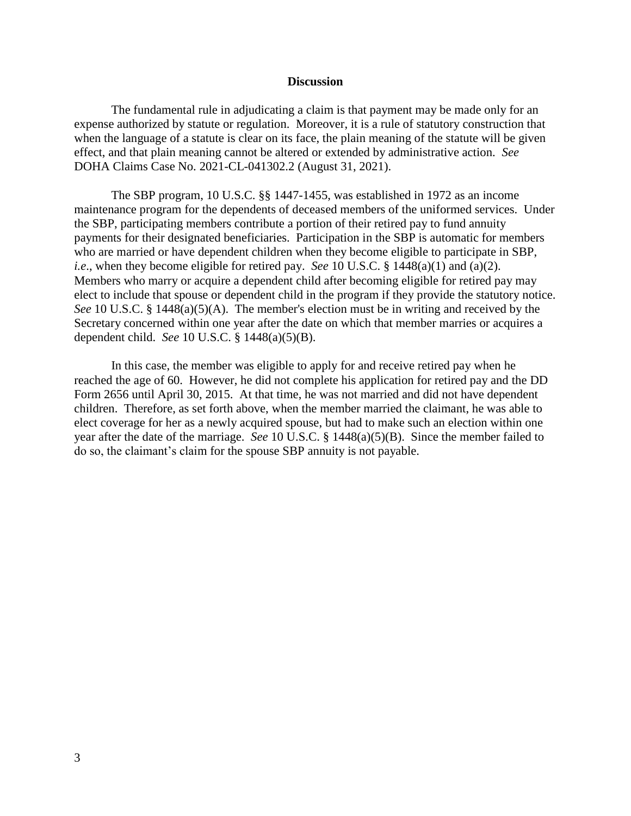### **Discussion**

The fundamental rule in adjudicating a claim is that payment may be made only for an expense authorized by statute or regulation. Moreover, it is a rule of statutory construction that when the language of a statute is clear on its face, the plain meaning of the statute will be given effect, and that plain meaning cannot be altered or extended by administrative action. *See*  DOHA Claims Case No. 2021-CL-041302.2 (August 31, 2021).

The SBP program, 10 U.S.C. §§ 1447-1455, was established in 1972 as an income maintenance program for the dependents of deceased members of the uniformed services. Under the SBP, participating members contribute a portion of their retired pay to fund annuity payments for their designated beneficiaries. Participation in the SBP is automatic for members who are married or have dependent children when they become eligible to participate in SBP, *i.e*., when they become eligible for retired pay. *See* 10 U.S.C. § 1448(a)(1) and (a)(2). Members who marry or acquire a dependent child after becoming eligible for retired pay may elect to include that spouse or dependent child in the program if they provide the statutory notice. *See* 10 U.S.C. § 1448(a)(5)(A). The member's election must be in writing and received by the Secretary concerned within one year after the date on which that member marries or acquires a dependent child. *See* 10 U.S.C. § 1448(a)(5)(B).

In this case, the member was eligible to apply for and receive retired pay when he reached the age of 60. However, he did not complete his application for retired pay and the DD Form 2656 until April 30, 2015. At that time, he was not married and did not have dependent children. Therefore, as set forth above, when the member married the claimant, he was able to elect coverage for her as a newly acquired spouse, but had to make such an election within one year after the date of the marriage. *See* 10 U.S.C. § 1448(a)(5)(B). Since the member failed to do so, the claimant's claim for the spouse SBP annuity is not payable.